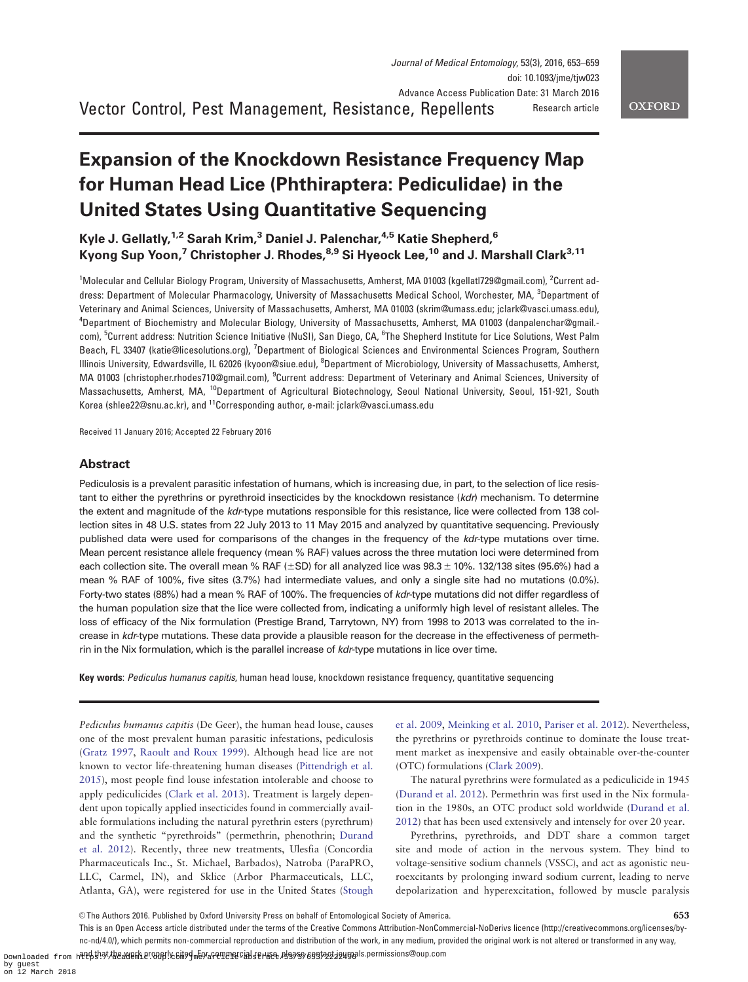**OXFORD** 

# Expansion of the Knockdown Resistance Frequency Map for Human Head Lice (Phthiraptera: Pediculidae) in the United States Using Quantitative Sequencing

Kyle J. Gellatly,<sup>1,2</sup> Sarah Krim,<sup>3</sup> Daniel J. Palenchar,<sup>4,5</sup> Katie Shepherd,<sup>6</sup> Kyong Sup Yoon,<sup>7</sup> Christopher J. Rhodes,<sup>8,9</sup> Si Hyeock Lee,<sup>10</sup> and J. Marshall Clark<sup>3,11</sup>

<sup>1</sup>Molecular and Cellular Biology Program, University of Massachusetts, Amherst, MA 01003 (kgellatl729@gmail.com), <sup>2</sup>Current address: Department of Molecular Pharmacology, University of Massachusetts Medical School, Worchester, MA, <sup>3</sup>Department of Veterinary and Animal Sciences, University of Massachusetts, Amherst, MA 01003 (skrim@umass.edu; jclark@vasci.umass.edu), 4 Department of Biochemistry and Molecular Biology, University of Massachusetts, Amherst, MA 01003 (danpalenchar@gmail. com), <sup>5</sup>Current address: Nutrition Science Initiative (NuSI), San Diego, CA, <sup>6</sup>The Shepherd Institute for Lice Solutions, West Palm Beach, FL 33407 (katie@licesolutions.org), <sup>7</sup>Department of Biological Sciences and Environmental Sciences Program, Southern lllinois University, Edwardsville, IL 62026 (kyoon@siue.edu), <sup>8</sup>Department of Microbiology, University of Massachusetts, Amherst, MA 01003 (christopher.rhodes710@gmail.com), <sup>9</sup>Current address: Department of Veterinary and Animal Sciences, University of Massachusetts, Amherst, MA, <sup>10</sup>Department of Agricultural Biotechnology, Seoul National University, Seoul, 151-921, South Korea (shlee22@snu.ac.kr), and 11Corresponding author, e-mail: jclark@vasci.umass.edu

Received 11 January 2016; Accepted 22 February 2016

## Abstract

Pediculosis is a prevalent parasitic infestation of humans, which is increasing due, in part, to the selection of lice resistant to either the pyrethrins or pyrethroid insecticides by the knockdown resistance (kdr) mechanism. To determine the extent and magnitude of the kdr-type mutations responsible for this resistance, lice were collected from 138 collection sites in 48 U.S. states from 22 July 2013 to 11 May 2015 and analyzed by quantitative sequencing. Previously published data were used for comparisons of the changes in the frequency of the kdr-type mutations over time. Mean percent resistance allele frequency (mean % RAF) values across the three mutation loci were determined from each collection site. The overall mean % RAF ( $\pm$ SD) for all analyzed lice was 98.3  $\pm$  10%. 132/138 sites (95.6%) had a mean % RAF of 100%, five sites (3.7%) had intermediate values, and only a single site had no mutations (0.0%). Forty-two states (88%) had a mean % RAF of 100%. The frequencies of kdr-type mutations did not differ regardless of the human population size that the lice were collected from, indicating a uniformly high level of resistant alleles. The loss of efficacy of the Nix formulation (Prestige Brand, Tarrytown, NY) from 1998 to 2013 was correlated to the increase in kdr-type mutations. These data provide a plausible reason for the decrease in the effectiveness of permethrin in the Nix formulation, which is the parallel increase of kdr-type mutations in lice over time.

Key words: Pediculus humanus capitis, human head louse, knockdown resistance frequency, quantitative sequencing

Pediculus humanus capitis (De Geer), the human head louse, causes one of the most prevalent human parasitic infestations, pediculosis ([Gratz 1997](#page-5-0), [Raoult and Roux 1999\)](#page-6-0). Although head lice are not known to vector life-threatening human diseases ([Pittendrigh et al.](#page-6-0) [2015\)](#page-6-0), most people find louse infestation intolerable and choose to apply pediculicides [\(Clark et al. 2013](#page-5-0)). Treatment is largely dependent upon topically applied insecticides found in commercially available formulations including the natural pyrethrin esters (pyrethrum) and the synthetic "pyrethroids" (permethrin, phenothrin; [Durand](#page-5-0) [et al. 2012\)](#page-5-0). Recently, three new treatments, Ulesfia (Concordia Pharmaceuticals Inc., St. Michael, Barbados), Natroba (ParaPRO, LLC, Carmel, IN), and Sklice (Arbor Pharmaceuticals, LLC, Atlanta, GA), were registered for use in the United States [\(Stough](#page-6-0) [et al. 2009](#page-6-0), [Meinking et al. 2010](#page-6-0), [Pariser et al. 2012](#page-6-0)). Nevertheless, the pyrethrins or pyrethroids continue to dominate the louse treatment market as inexpensive and easily obtainable over-the-counter (OTC) formulations [\(Clark 2009](#page-5-0)).

The natural pyrethrins were formulated as a pediculicide in 1945 ([Durand et al. 2012\)](#page-5-0). Permethrin was first used in the Nix formulation in the 1980s, an OTC product sold worldwide [\(Durand et al.](#page-5-0) [2012\)](#page-5-0) that has been used extensively and intensely for over 20 year.

Pyrethrins, pyrethroids, and DDT share a common target site and mode of action in the nervous system. They bind to voltage-sensitive sodium channels (VSSC), and act as agonistic neuroexcitants by prolonging inward sodium current, leading to nerve depolarization and hyperexcitation, followed by muscle paralysis

nc-nd/4.0/), which permits non-commercial reproduction and distribution of the work, in any medium, provided the original work is not altered or transformed in any way,

Downloaded from https://academic.org/pl/c6ifed.actTurers.html?eruse,pl939e/68934239459als.permissions@oup.com by guest on 12 March 2018

<sup>©</sup> The Authors 2016. Published by Oxford University Press on behalf of Entomological Society of America. 653

This is an Open Access article distributed under the terms of the Creative Commons Attribution-NonCommercial-NoDerivs licence (http://creativecommons.org/licenses/by-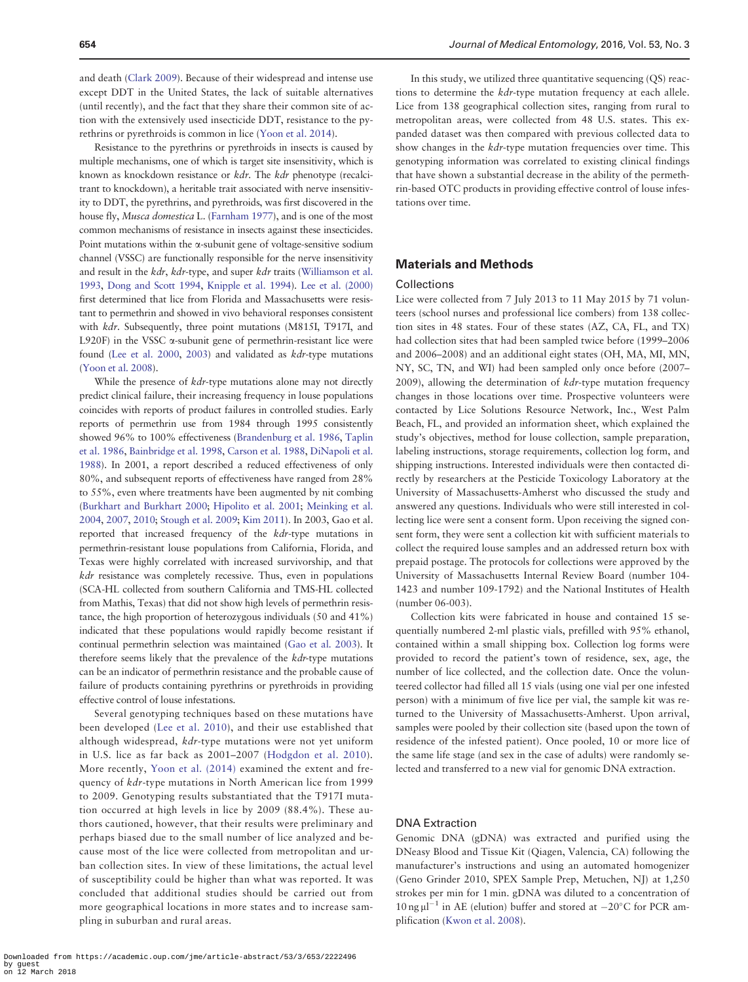and death ([Clark 2009\)](#page-5-0). Because of their widespread and intense use except DDT in the United States, the lack of suitable alternatives (until recently), and the fact that they share their common site of action with the extensively used insecticide DDT, resistance to the pyrethrins or pyrethroids is common in lice ([Yoon et al. 2014\)](#page-6-0).

Resistance to the pyrethrins or pyrethroids in insects is caused by multiple mechanisms, one of which is target site insensitivity, which is known as knockdown resistance or kdr. The kdr phenotype (recalcitrant to knockdown), a heritable trait associated with nerve insensitivity to DDT, the pyrethrins, and pyrethroids, was first discovered in the house fly, Musca domestica L. [\(Farnham 1977](#page-5-0)), and is one of the most common mechanisms of resistance in insects against these insecticides. Point mutations within the  $\alpha$ -subunit gene of voltage-sensitive sodium channel (VSSC) are functionally responsible for the nerve insensitivity and result in the kdr, kdr-type, and super kdr traits ([Williamson et al.](#page-6-0) [1993](#page-6-0), [Dong and Scott 1994,](#page-5-0) [Knipple et al. 1994\)](#page-6-0). [Lee et al. \(2000\)](#page-6-0) first determined that lice from Florida and Massachusetts were resistant to permethrin and showed in vivo behavioral responses consistent with kdr. Subsequently, three point mutations (M815I, T917I, and L920F) in the VSSC  $\alpha$ -subunit gene of permethrin-resistant lice were found [\(Lee et al. 2000,](#page-6-0) [2003](#page-6-0)) and validated as kdr-type mutations ([Yoon et al. 2008](#page-6-0)).

While the presence of *kdr*-type mutations alone may not directly predict clinical failure, their increasing frequency in louse populations coincides with reports of product failures in controlled studies. Early reports of permethrin use from 1984 through 1995 consistently showed 96% to 100% effectiveness ([Brandenburg et al. 1986,](#page-5-0) [Taplin](#page-6-0) [et al. 1986,](#page-6-0) [Bainbridge et al. 1998,](#page-5-0) [Carson et al. 1988,](#page-5-0) [DiNapoli et al.](#page-5-0) [1988](#page-5-0)). In 2001, a report described a reduced effectiveness of only 80%, and subsequent reports of effectiveness have ranged from 28% to 55%, even where treatments have been augmented by nit combing ([Burkhart and Burkhart 2000;](#page-5-0) [Hipolito et al. 2001](#page-5-0); [Meinking et al.](#page-6-0) [2004](#page-6-0), [2007,](#page-6-0) [2010](#page-6-0); [Stough et al. 2009;](#page-6-0) [Kim 2011\)](#page-6-0). In 2003, Gao et al. reported that increased frequency of the kdr-type mutations in permethrin-resistant louse populations from California, Florida, and Texas were highly correlated with increased survivorship, and that kdr resistance was completely recessive. Thus, even in populations (SCA-HL collected from southern California and TMS-HL collected from Mathis, Texas) that did not show high levels of permethrin resistance, the high proportion of heterozygous individuals (50 and 41%) indicated that these populations would rapidly become resistant if continual permethrin selection was maintained [\(Gao et al. 2003](#page-5-0)). It therefore seems likely that the prevalence of the kdr-type mutations can be an indicator of permethrin resistance and the probable cause of failure of products containing pyrethrins or pyrethroids in providing effective control of louse infestations.

Several genotyping techniques based on these mutations have been developed ([Lee et al. 2010\)](#page-6-0), and their use established that although widespread, kdr-type mutations were not yet uniform in U.S. lice as far back as 2001–2007 ([Hodgdon et al. 2010\)](#page-6-0). More recently, [Yoon et al. \(2014\)](#page-6-0) examined the extent and frequency of kdr-type mutations in North American lice from 1999 to 2009. Genotyping results substantiated that the T917I mutation occurred at high levels in lice by 2009 (88.4%). These authors cautioned, however, that their results were preliminary and perhaps biased due to the small number of lice analyzed and because most of the lice were collected from metropolitan and urban collection sites. In view of these limitations, the actual level of susceptibility could be higher than what was reported. It was concluded that additional studies should be carried out from more geographical locations in more states and to increase sampling in suburban and rural areas.

In this study, we utilized three quantitative sequencing (QS) reactions to determine the kdr-type mutation frequency at each allele. Lice from 138 geographical collection sites, ranging from rural to metropolitan areas, were collected from 48 U.S. states. This expanded dataset was then compared with previous collected data to show changes in the *kdr*-type mutation frequencies over time. This genotyping information was correlated to existing clinical findings that have shown a substantial decrease in the ability of the permethrin-based OTC products in providing effective control of louse infestations over time.

## Materials and Methods

#### Collections

Lice were collected from 7 July 2013 to 11 May 2015 by 71 volunteers (school nurses and professional lice combers) from 138 collection sites in 48 states. Four of these states (AZ, CA, FL, and TX) had collection sites that had been sampled twice before (1999–2006 and 2006–2008) and an additional eight states (OH, MA, MI, MN, NY, SC, TN, and WI) had been sampled only once before (2007– 2009), allowing the determination of  $kdr$ -type mutation frequency changes in those locations over time. Prospective volunteers were contacted by Lice Solutions Resource Network, Inc., West Palm Beach, FL, and provided an information sheet, which explained the study's objectives, method for louse collection, sample preparation, labeling instructions, storage requirements, collection log form, and shipping instructions. Interested individuals were then contacted directly by researchers at the Pesticide Toxicology Laboratory at the University of Massachusetts-Amherst who discussed the study and answered any questions. Individuals who were still interested in collecting lice were sent a consent form. Upon receiving the signed consent form, they were sent a collection kit with sufficient materials to collect the required louse samples and an addressed return box with prepaid postage. The protocols for collections were approved by the University of Massachusetts Internal Review Board (number 104- 1423 and number 109-1792) and the National Institutes of Health (number 06-003).

Collection kits were fabricated in house and contained 15 sequentially numbered 2-ml plastic vials, prefilled with 95% ethanol, contained within a small shipping box. Collection log forms were provided to record the patient's town of residence, sex, age, the number of lice collected, and the collection date. Once the volunteered collector had filled all 15 vials (using one vial per one infested person) with a minimum of five lice per vial, the sample kit was returned to the University of Massachusetts-Amherst. Upon arrival, samples were pooled by their collection site (based upon the town of residence of the infested patient). Once pooled, 10 or more lice of the same life stage (and sex in the case of adults) were randomly selected and transferred to a new vial for genomic DNA extraction.

## DNA Extraction

Genomic DNA (gDNA) was extracted and purified using the DNeasy Blood and Tissue Kit (Qiagen, Valencia, CA) following the manufacturer's instructions and using an automated homogenizer (Geno Grinder 2010, SPEX Sample Prep, Metuchen, NJ) at 1,250 strokes per min for 1 min. gDNA was diluted to a concentration of  $10$  ng  $\mu$ <sup>-1</sup> in AE (elution) buffer and stored at -20°C for PCR amplification ([Kwon et al. 2008\)](#page-6-0).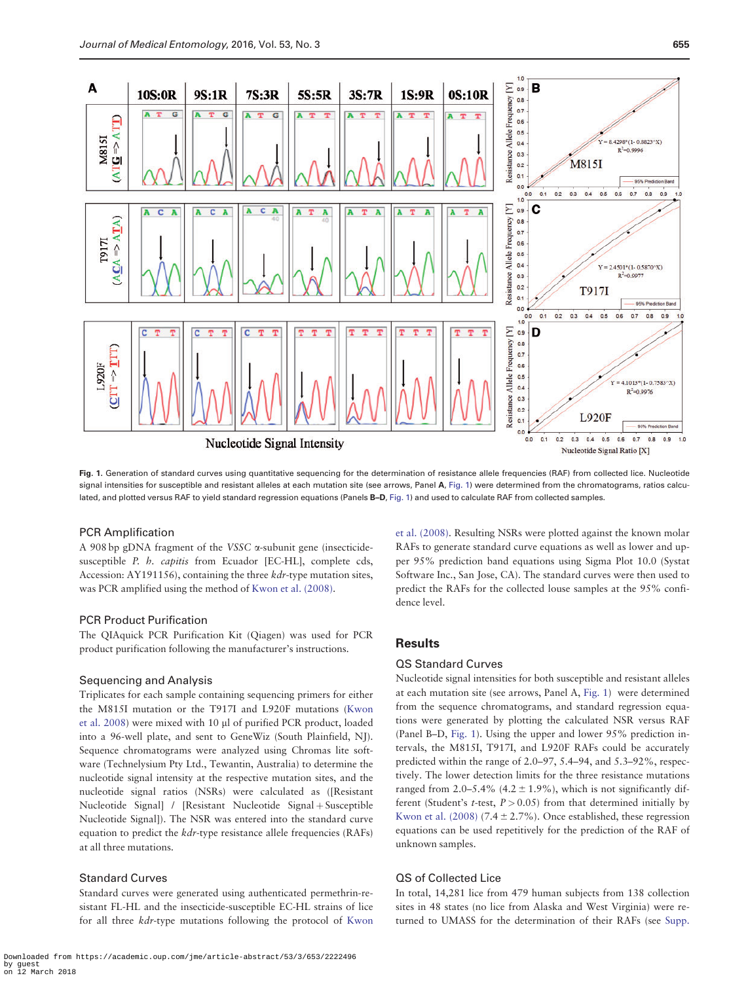

Fig. 1. Generation of standard curves using quantitative sequencing for the determination of resistance allele frequencies (RAF) from collected lice. Nucleotide signal intensities for susceptible and resistant alleles at each mutation site (see arrows, Panel A, Fig. 1) were determined from the chromatograms, ratios calculated, and plotted versus RAF to yield standard regression equations (Panels B–D, Fig. 1) and used to calculate RAF from collected samples.

## PCR Amplification

A 908 bp gDNA fragment of the VSSC a-subunit gene (insecticidesusceptible P. h. capitis from Ecuador [EC-HL], complete cds, Accession: AY191156), containing the three *kdr*-type mutation sites, was PCR amplified using the method of [Kwon et al. \(2008\).](#page-6-0)

### PCR Product Purification

The QIAquick PCR Purification Kit (Qiagen) was used for PCR product purification following the manufacturer's instructions.

## Sequencing and Analysis

Triplicates for each sample containing sequencing primers for either the M815I mutation or the T917I and L920F mutations [\(Kwon](#page-6-0) [et al. 2008](#page-6-0)) were mixed with 10 µl of purified PCR product, loaded into a 96-well plate, and sent to GeneWiz (South Plainfield, NJ). Sequence chromatograms were analyzed using Chromas lite software (Technelysium Pty Ltd., Tewantin, Australia) to determine the nucleotide signal intensity at the respective mutation sites, and the nucleotide signal ratios (NSRs) were calculated as ([Resistant Nucleotide Signal] / [Resistant Nucleotide Signal + Susceptible Nucleotide Signal]). The NSR was entered into the standard curve equation to predict the kdr-type resistance allele frequencies (RAFs) at all three mutations.

## Standard Curves

Standard curves were generated using authenticated permethrin-resistant FL-HL and the insecticide-susceptible EC-HL strains of lice for all three kdr-type mutations following the protocol of [Kwon](#page-6-0) [et al. \(2008\)](#page-6-0). Resulting NSRs were plotted against the known molar RAFs to generate standard curve equations as well as lower and upper 95% prediction band equations using Sigma Plot 10.0 (Systat Software Inc., San Jose, CA). The standard curves were then used to predict the RAFs for the collected louse samples at the 95% confidence level.

## **Results**

#### QS Standard Curves

Nucleotide signal intensities for both susceptible and resistant alleles at each mutation site (see arrows, Panel A, Fig. 1) were determined from the sequence chromatograms, and standard regression equations were generated by plotting the calculated NSR versus RAF (Panel B–D, Fig. 1). Using the upper and lower 95% prediction intervals, the M815I, T917I, and L920F RAFs could be accurately predicted within the range of 2.0–97, 5.4–94, and 5.3–92%, respectively. The lower detection limits for the three resistance mutations ranged from 2.0–5.4% (4.2  $\pm$  1.9%), which is not significantly different (Student's *t*-test,  $P > 0.05$ ) from that determined initially by [Kwon et al. \(2008\)](#page-6-0) (7.4  $\pm$  2.7%). Once established, these regression equations can be used repetitively for the prediction of the RAF of unknown samples.

## QS of Collected Lice

In total, 14,281 lice from 479 human subjects from 138 collection sites in 48 states (no lice from Alaska and West Virginia) were returned to UMASS for the determination of their RAFs (see [Supp.](http://jme.oxfordjournals.org/lookup/suppl/doi:10.1093/jme/tjw023/-/DC1)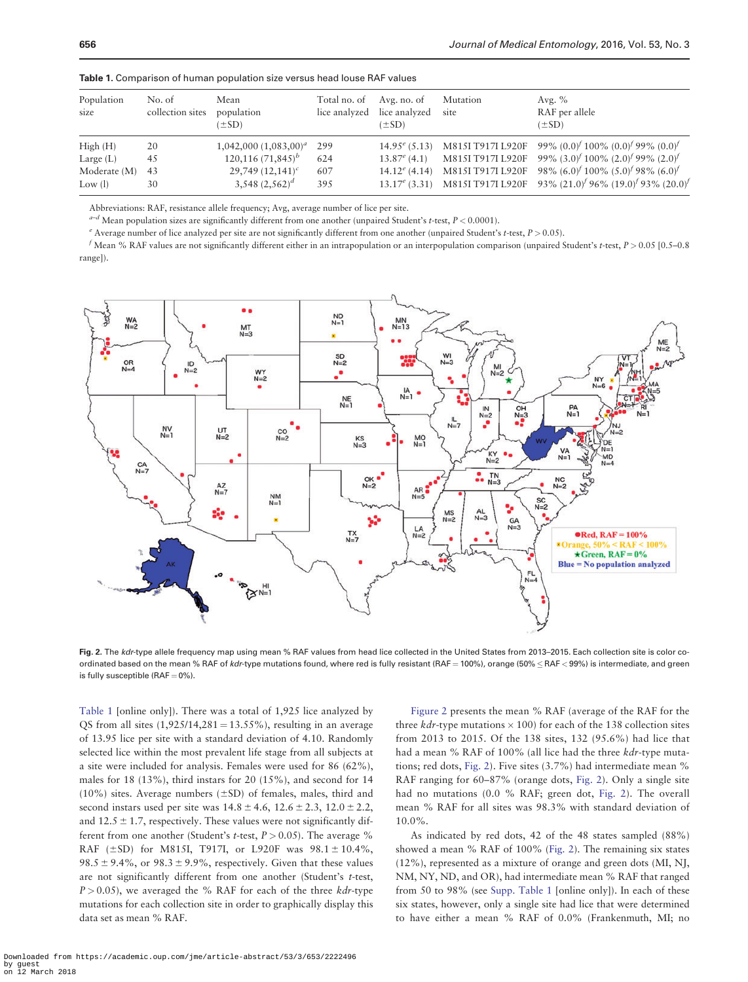| Population<br>size | No. of<br>collection sites | Mean<br>population<br>$(\pm SD)$ | Total no. of Avg. no. of | lice analyzed lice analyzed site<br>$(\pm SD)$ | Mutation                                    | Avg. $%$<br>RAF per allele<br>$(\pm SD)$                                                                            |
|--------------------|----------------------------|----------------------------------|--------------------------|------------------------------------------------|---------------------------------------------|---------------------------------------------------------------------------------------------------------------------|
| High(H)            | 20                         | $1,042,000$ $(1,083,00)^a$       | 299                      |                                                |                                             | 14.95 <sup>e</sup> (5.13) M815I T917I L920F 99% (0.0) <sup>f</sup> 100% (0.0) <sup>f</sup> 99% (0.0) <sup>f</sup>   |
| Large $(L)$        | 45                         | $120, 116$ (71,845) <sup>b</sup> | 624                      |                                                |                                             | 13.87 <sup>e</sup> (4.1) M815I T917I L920F 99% (3.0) <sup>f</sup> 100% (2.0) <sup>f</sup> 99% (2.0) <sup>f</sup>    |
| Moderate $(M)$ 43  |                            | $29,749$ $(12,141)^c$            | 607                      |                                                | 14.12 <sup>e</sup> (4.14) M815I T917I L920F | 98% $(6.0)^f 100\%$ $(5.0)^f 98\%$ $(6.0)^f$                                                                        |
| Low $(l)$          | 30                         | $3,548$ $(2,562)^d$              | 395                      |                                                |                                             | 13.17 <sup>e</sup> (3.31) M815I T917I L920F 93% (21.0) <sup>f</sup> 96% (19.0) <sup>f</sup> 93% (20.0) <sup>f</sup> |

<span id="page-3-0"></span>Table 1. Comparison of human population size versus head louse RAF values

Abbreviations: RAF, resistance allele frequency; Avg, average number of lice per site.

 $^{a-d}$  Mean population sizes are significantly different from one another (unpaired Student's t-test,  $P < 0.0001$ ).

e Average number of lice analyzed per site are not significantly different from one another (unpaired Student's t-test,  $P > 0.05$ ).

f Mean % RAF values are not significantly different either in an intrapopulation or an interpopulation comparison (unpaired Student's t-test,  $P > 0.05$  [0.5–0.8 range]).



Fig. 2. The kdr-type allele frequency map using mean % RAF values from head lice collected in the United States from 2013-2015. Each collection site is color coordinated based on the mean % RAF of kdr-type mutations found, where red is fully resistant (RAF = 100%), orange (50%  $\leq$  RAF < 99%) is intermediate, and green is fully susceptible (RAF  $=$  0%).

[Table 1](http://jme.oxfordjournals.org/lookup/suppl/doi:10.1093/jme/tjw023/-/DC1) [online only]). There was a total of 1,925 lice analyzed by QS from all sites  $(1,925/14,281 = 13.55\%)$ , resulting in an average of 13.95 lice per site with a standard deviation of 4.10. Randomly selected lice within the most prevalent life stage from all subjects at a site were included for analysis. Females were used for 86 (62%), males for 18 (13%), third instars for 20 (15%), and second for 14 (10%) sites. Average numbers  $(\pm SD)$  of females, males, third and second instars used per site was  $14.8 \pm 4.6$ ,  $12.6 \pm 2.3$ ,  $12.0 \pm 2.2$ , and  $12.5 \pm 1.7$ , respectively. These values were not significantly different from one another (Student's *t*-test,  $P > 0.05$ ). The average % RAF ( $\pm$ SD) for M815I, T917I, or L920F was  $98.1 \pm 10.4\%$ ,  $98.5 \pm 9.4\%$ , or  $98.3 \pm 9.9\%$ , respectively. Given that these values are not significantly different from one another (Student's t-test,  $P > 0.05$ ), we averaged the % RAF for each of the three *kdr*-type mutations for each collection site in order to graphically display this data set as mean % RAF.

Figure 2 presents the mean % RAF (average of the RAF for the three  $kdr$ -type mutations  $\times$  100) for each of the 138 collection sites from 2013 to 2015. Of the 138 sites, 132 (95.6%) had lice that had a mean % RAF of 100% (all lice had the three *kdr*-type mutations; red dots, Fig. 2). Five sites (3.7%) had intermediate mean % RAF ranging for 60–87% (orange dots, Fig. 2). Only a single site had no mutations (0.0 % RAF; green dot, Fig. 2). The overall mean % RAF for all sites was 98.3% with standard deviation of 10.0%.

As indicated by red dots, 42 of the 48 states sampled (88%) showed a mean % RAF of 100% (Fig. 2). The remaining six states (12%), represented as a mixture of orange and green dots (MI, NJ, NM, NY, ND, and OR), had intermediate mean % RAF that ranged from 50 to 98% (see [Supp. Table 1](http://jme.oxfordjournals.org/lookup/suppl/doi:10.1093/jme/tjw023/-/DC1) [online only]). In each of these six states, however, only a single site had lice that were determined to have either a mean % RAF of 0.0% (Frankenmuth, MI; no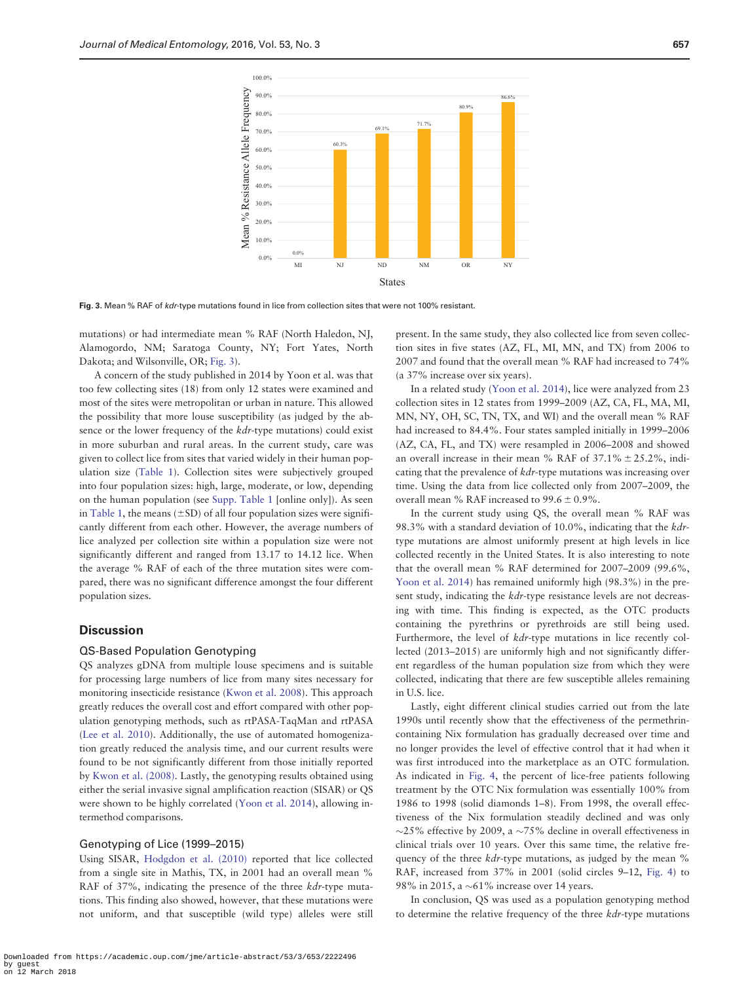

Fig. 3. Mean % RAF of kdr-type mutations found in lice from collection sites that were not 100% resistant.

mutations) or had intermediate mean % RAF (North Haledon, NJ, Alamogordo, NM; Saratoga County, NY; Fort Yates, North Dakota; and Wilsonville, OR; Fig. 3).

A concern of the study published in 2014 by Yoon et al. was that too few collecting sites (18) from only 12 states were examined and most of the sites were metropolitan or urban in nature. This allowed the possibility that more louse susceptibility (as judged by the absence or the lower frequency of the kdr-type mutations) could exist in more suburban and rural areas. In the current study, care was given to collect lice from sites that varied widely in their human population size [\(Table 1](#page-3-0)). Collection sites were subjectively grouped into four population sizes: high, large, moderate, or low, depending on the human population (see [Supp. Table 1](http://jme.oxfordjournals.org/lookup/suppl/doi:10.1093/jme/tjw023/-/DC1) [online only]). As seen in [Table 1,](#page-3-0) the means ( $\pm$ SD) of all four population sizes were significantly different from each other. However, the average numbers of lice analyzed per collection site within a population size were not significantly different and ranged from 13.17 to 14.12 lice. When the average % RAF of each of the three mutation sites were compared, there was no significant difference amongst the four different population sizes.

## **Discussion**

#### QS-Based Population Genotyping

QS analyzes gDNA from multiple louse specimens and is suitable for processing large numbers of lice from many sites necessary for monitoring insecticide resistance [\(Kwon et al. 2008](#page-6-0)). This approach greatly reduces the overall cost and effort compared with other population genotyping methods, such as rtPASA-TaqMan and rtPASA ([Lee et al. 2010](#page-6-0)). Additionally, the use of automated homogenization greatly reduced the analysis time, and our current results were found to be not significantly different from those initially reported by [Kwon et al. \(2008\)](#page-6-0). Lastly, the genotyping results obtained using either the serial invasive signal amplification reaction (SISAR) or QS were shown to be highly correlated ([Yoon et al. 2014](#page-6-0)), allowing intermethod comparisons.

#### Genotyping of Lice (1999–2015)

Using SISAR, [Hodgdon et al. \(2010\)](#page-6-0) reported that lice collected from a single site in Mathis, TX, in 2001 had an overall mean % RAF of 37%, indicating the presence of the three kdr-type mutations. This finding also showed, however, that these mutations were not uniform, and that susceptible (wild type) alleles were still present. In the same study, they also collected lice from seven collection sites in five states (AZ, FL, MI, MN, and TX) from 2006 to 2007 and found that the overall mean % RAF had increased to 74% (a 37% increase over six years).

In a related study ([Yoon et al. 2014](#page-6-0)), lice were analyzed from 23 collection sites in 12 states from 1999–2009 (AZ, CA, FL, MA, MI, MN, NY, OH, SC, TN, TX, and WI) and the overall mean % RAF had increased to 84.4%. Four states sampled initially in 1999–2006 (AZ, CA, FL, and TX) were resampled in 2006–2008 and showed an overall increase in their mean % RAF of  $37.1\% \pm 25.2\%$ , indicating that the prevalence of kdr-type mutations was increasing over time. Using the data from lice collected only from 2007–2009, the overall mean % RAF increased to  $99.6 \pm 0.9\%$ .

In the current study using QS, the overall mean % RAF was 98.3% with a standard deviation of 10.0%, indicating that the kdrtype mutations are almost uniformly present at high levels in lice collected recently in the United States. It is also interesting to note that the overall mean % RAF determined for 2007–2009 (99.6%, [Yoon et al. 2014](#page-6-0)) has remained uniformly high (98.3%) in the present study, indicating the kdr-type resistance levels are not decreasing with time. This finding is expected, as the OTC products containing the pyrethrins or pyrethroids are still being used. Furthermore, the level of kdr-type mutations in lice recently collected (2013–2015) are uniformly high and not significantly different regardless of the human population size from which they were collected, indicating that there are few susceptible alleles remaining in U.S. lice.

Lastly, eight different clinical studies carried out from the late 1990s until recently show that the effectiveness of the permethrincontaining Nix formulation has gradually decreased over time and no longer provides the level of effective control that it had when it was first introduced into the marketplace as an OTC formulation. As indicated in [Fig. 4](#page-5-0), the percent of lice-free patients following treatment by the OTC Nix formulation was essentially 100% from 1986 to 1998 (solid diamonds 1–8). From 1998, the overall effectiveness of the Nix formulation steadily declined and was only  $\sim$ 25% effective by 2009, a  $\sim$ 75% decline in overall effectiveness in clinical trials over 10 years. Over this same time, the relative frequency of the three *kdr*-type mutations, as judged by the mean % RAF, increased from 37% in 2001 (solid circles 9–12, [Fig. 4\)](#page-5-0) to 98% in 2015, a  $\sim$  61% increase over 14 years.

In conclusion, QS was used as a population genotyping method to determine the relative frequency of the three kdr-type mutations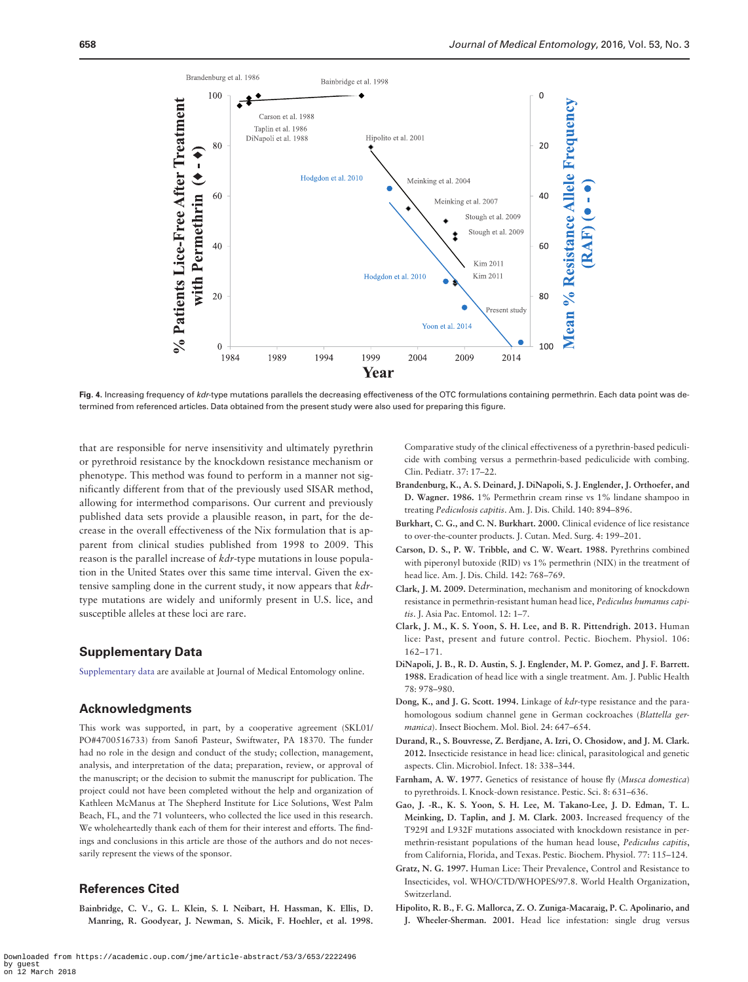<span id="page-5-0"></span>

Fig. 4. Increasing frequency of kdr-type mutations parallels the decreasing effectiveness of the OTC formulations containing permethrin. Each data point was determined from referenced articles. Data obtained from the present study were also used for preparing this figure.

that are responsible for nerve insensitivity and ultimately pyrethrin or pyrethroid resistance by the knockdown resistance mechanism or phenotype. This method was found to perform in a manner not significantly different from that of the previously used SISAR method, allowing for intermethod comparisons. Our current and previously published data sets provide a plausible reason, in part, for the decrease in the overall effectiveness of the Nix formulation that is apparent from clinical studies published from 1998 to 2009. This reason is the parallel increase of kdr-type mutations in louse population in the United States over this same time interval. Given the extensive sampling done in the current study, it now appears that kdrtype mutations are widely and uniformly present in U.S. lice, and susceptible alleles at these loci are rare.

### Supplementary Data

[Supplementary data](http://jme.oxfordjournals.org/lookup/suppl/doi:10.1093/jme/tjw023/-/DC1) are available at Journal of Medical Entomology online.

### Acknowledgments

This work was supported, in part, by a cooperative agreement (SKL01/ PO#4700516733) from Sanofi Pasteur, Swiftwater, PA 18370. The funder had no role in the design and conduct of the study; collection, management, analysis, and interpretation of the data; preparation, review, or approval of the manuscript; or the decision to submit the manuscript for publication. The project could not have been completed without the help and organization of Kathleen McManus at The Shepherd Institute for Lice Solutions, West Palm Beach, FL, and the 71 volunteers, who collected the lice used in this research. We wholeheartedly thank each of them for their interest and efforts. The findings and conclusions in this article are those of the authors and do not necessarily represent the views of the sponsor.

# References Cited

Bainbridge, C. V., G. L. Klein, S. I. Neibart, H. Hassman, K. Ellis, D. Manring, R. Goodyear, J. Newman, S. Micik, F. Hoehler, et al. 1998. Comparative study of the clinical effectiveness of a pyrethrin-based pediculicide with combing versus a permethrin-based pediculicide with combing. Clin. Pediatr. 37: 17–22.

- Brandenburg, K., A. S. Deinard, J. DiNapoli, S. J. Englender, J. Orthoefer, and D. Wagner. 1986. 1% Permethrin cream rinse vs 1% lindane shampoo in treating Pediculosis capitis. Am. J. Dis. Child. 140: 894–896.
- Burkhart, C. G., and C. N. Burkhart. 2000. Clinical evidence of lice resistance to over-the-counter products. J. Cutan. Med. Surg. 4: 199–201.
- Carson, D. S., P. W. Tribble, and C. W. Weart. 1988. Pyrethrins combined with piperonyl butoxide (RID) vs 1% permethrin (NIX) in the treatment of head lice. Am. J. Dis. Child. 142: 768–769.
- Clark, J. M. 2009. Determination, mechanism and monitoring of knockdown resistance in permethrin-resistant human head lice, Pediculus humanus capitis. J. Asia Pac. Entomol. 12: 1–7.
- Clark, J. M., K. S. Yoon, S. H. Lee, and B. R. Pittendrigh. 2013. Human lice: Past, present and future control. Pectic. Biochem. Physiol. 106: 162–171.
- DiNapoli, J. B., R. D. Austin, S. J. Englender, M. P. Gomez, and J. F. Barrett. 1988. Eradication of head lice with a single treatment. Am. J. Public Health 78: 978–980.
- Dong, K., and J. G. Scott. 1994. Linkage of kdr-type resistance and the parahomologous sodium channel gene in German cockroaches (Blattella germanica). Insect Biochem. Mol. Biol. 24: 647–654.
- Durand, R., S. Bouvresse, Z. Berdjane, A. Izri, O. Chosidow, and J. M. Clark. 2012. Insecticide resistance in head lice: clinical, parasitological and genetic aspects. Clin. Microbiol. Infect. 18: 338–344.
- Farnham, A. W. 1977. Genetics of resistance of house fly (Musca domestica) to pyrethroids. I. Knock-down resistance. Pestic. Sci. 8: 631–636.
- Gao, J. -R., K. S. Yoon, S. H. Lee, M. Takano-Lee, J. D. Edman, T. L. Meinking, D. Taplin, and J. M. Clark. 2003. Increased frequency of the T929I and L932F mutations associated with knockdown resistance in permethrin-resistant populations of the human head louse, Pediculus capitis, from California, Florida, and Texas. Pestic. Biochem. Physiol. 77: 115–124.
- Gratz, N. G. 1997. Human Lice: Their Prevalence, Control and Resistance to Insecticides, vol. WHO/CTD/WHOPES/97.8. World Health Organization, Switzerland.
- Hipolito, R. B., F. G. Mallorca, Z. O. Zuniga-Macaraig, P. C. Apolinario, and J. Wheeler-Sherman. 2001. Head lice infestation: single drug versus